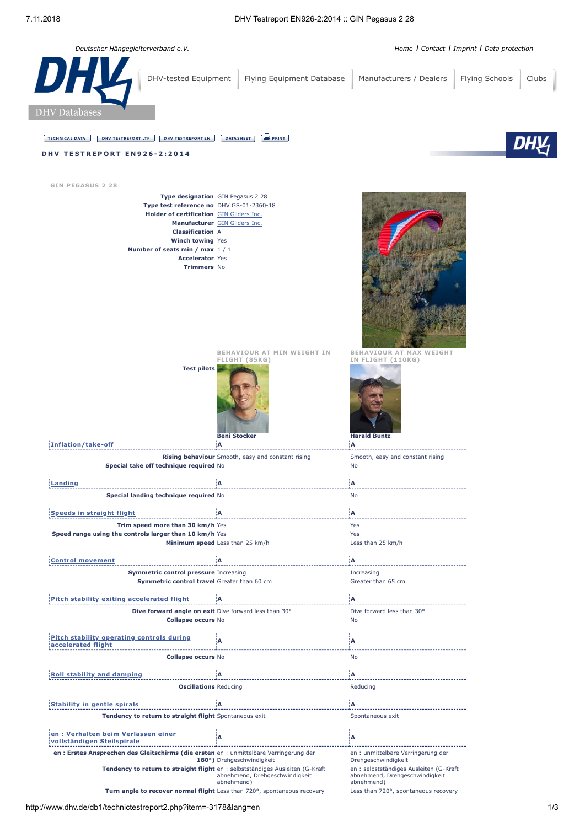*Deutscher Hängegleiterverband e.V. [Home](http://www.dhv.de/) I [Contact](http://www.dhv.de/kontakt/) I [Imprint](http://www.dhv.de/impressum/) I [Data protection](https://www.dhv.de/datenschutz/)*

| <b>DHY</b><br>DHV-tested Equipment<br><b>DHV</b> Databases                                                                                                                                                                                         | Flying Equipment Database                                                 | Manufacturers / Dealers                                                                                        | Flying Schools<br>Clubs |
|----------------------------------------------------------------------------------------------------------------------------------------------------------------------------------------------------------------------------------------------------|---------------------------------------------------------------------------|----------------------------------------------------------------------------------------------------------------|-------------------------|
|                                                                                                                                                                                                                                                    |                                                                           |                                                                                                                |                         |
| <b>TECHNICAL DATA</b><br><b>DHV TESTREPORT EN</b><br><b>DHV TESTREPORT LTF</b>                                                                                                                                                                     | $\bigoplus$ PRINT<br><b>DATASHEET</b>                                     |                                                                                                                |                         |
| <b>DHV TESTREPORT EN926-2:2014</b>                                                                                                                                                                                                                 |                                                                           |                                                                                                                |                         |
|                                                                                                                                                                                                                                                    |                                                                           |                                                                                                                |                         |
| <b>GIN PEGASUS 2 28</b>                                                                                                                                                                                                                            |                                                                           |                                                                                                                |                         |
| Type designation GIN Pegasus 2 28<br>Type test reference no DHV GS-01-2360-18<br>Holder of certification GIN Gliders Inc.<br><b>Classification A</b><br>Winch towing Yes<br>Number of seats min / max 1/1<br><b>Accelerator Yes</b><br>Trimmers No | Manufacturer GIN Gliders Inc.                                             |                                                                                                                |                         |
| <b>Test pilots</b>                                                                                                                                                                                                                                 | BEHAVIOUR AT MIN WEIGHT IN<br>FLIGHT (85KG)<br><b>Beni Stocker</b>        | <b>BEHAVIOUR AT MAX WEIGHT</b><br>IN FLIGHT (110KG)<br><b>Harald Buntz</b>                                     |                         |
| <b>Inflation/take-off</b>                                                                                                                                                                                                                          | ¦Α<br>Rising behaviour Smooth, easy and constant rising                   | įΑ.                                                                                                            |                         |
| Special take off technique required No                                                                                                                                                                                                             |                                                                           | Smooth, easy and constant rising<br>No                                                                         |                         |
| <b>Landing</b>                                                                                                                                                                                                                                     | Α                                                                         | ¦A                                                                                                             |                         |
| Special landing technique required No                                                                                                                                                                                                              |                                                                           | No                                                                                                             |                         |
| <b>Speeds in straight flight</b>                                                                                                                                                                                                                   | A                                                                         | İΑ                                                                                                             |                         |
| Trim speed more than 30 km/h Yes                                                                                                                                                                                                                   |                                                                           | Yes                                                                                                            |                         |
| Speed range using the controls larger than 10 km/h Yes                                                                                                                                                                                             | Minimum speed Less than 25 km/h                                           | Yes<br>Less than 25 km/h                                                                                       |                         |
|                                                                                                                                                                                                                                                    |                                                                           |                                                                                                                |                         |
| <b>Control movement</b>                                                                                                                                                                                                                            | Α                                                                         | ΪA.                                                                                                            |                         |
| <b>Symmetric control pressure Increasing</b><br>Symmetric control travel Greater than 60 cm                                                                                                                                                        |                                                                           | Increasing<br>Greater than 65 cm                                                                               |                         |
| Pitch stability exiting accelerated flight                                                                                                                                                                                                         | ۰A                                                                        | ÎА.                                                                                                            |                         |
| Dive forward angle on exit Dive forward less than 30°<br><b>Collapse occurs No</b>                                                                                                                                                                 |                                                                           | Dive forward less than 30°<br>No                                                                               |                         |
| Pitch stability operating controls during<br>accelerated flight                                                                                                                                                                                    | A                                                                         | ļΑ                                                                                                             |                         |
| <b>Collapse occurs No</b>                                                                                                                                                                                                                          |                                                                           | No                                                                                                             |                         |
|                                                                                                                                                                                                                                                    |                                                                           |                                                                                                                |                         |
| <b>Roll stability and damping</b><br><b>Oscillations Reducing</b>                                                                                                                                                                                  | ίA                                                                        | ¦A<br>Reducing                                                                                                 |                         |
|                                                                                                                                                                                                                                                    |                                                                           |                                                                                                                |                         |
| <b>Stability in gentle spirals</b>                                                                                                                                                                                                                 | łА.                                                                       | İΑ                                                                                                             |                         |
| Tendency to return to straight flight Spontaneous exit<br>en: Verhalten beim Verlassen einer<br>vollständigen Steilspirale                                                                                                                         | А                                                                         | Spontaneous exit<br>ίA                                                                                         |                         |
| en : Erstes Ansprechen des Gleitschirms (die ersten en : unmittelbare Verringerung der                                                                                                                                                             |                                                                           | en : unmittelbare Verringerung der                                                                             |                         |
| Tendency to return to straight flight en : selbstständiges Ausleiten (G-Kraft                                                                                                                                                                      | 180°) Drehgeschwindigkeit<br>abnehmend, Drehgeschwindigkeit<br>abnehmend) | Drehgeschwindigkeit<br>en : selbstständiges Ausleiten (G-Kraft<br>abnehmend, Drehgeschwindigkeit<br>abnehmend) |                         |
|                                                                                                                                                                                                                                                    | Turn angle to recover normal flight Less than 720°, spontaneous recovery  | Less than 720°, spontaneous recovery                                                                           |                         |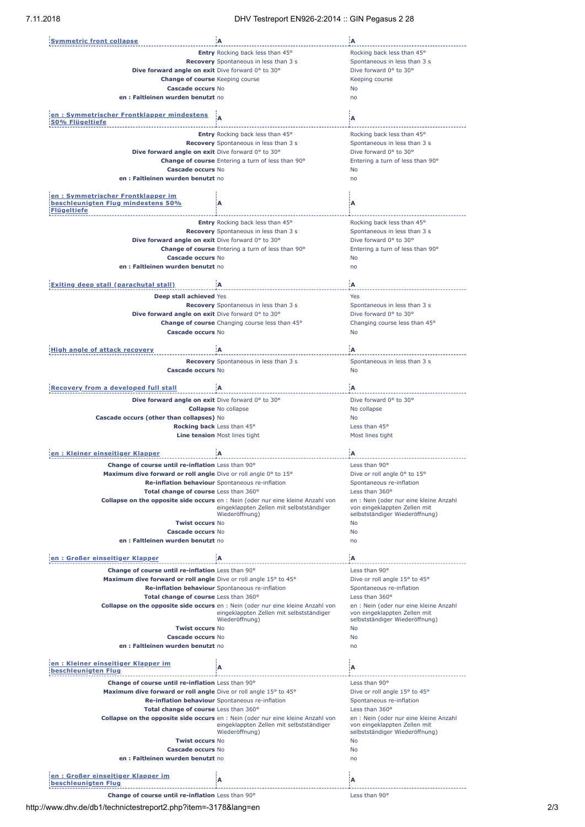| <b>Symmetric front collapse</b>                                   | ۱A                                                                                     | :A                                             |
|-------------------------------------------------------------------|----------------------------------------------------------------------------------------|------------------------------------------------|
|                                                                   | <b>Entry</b> Rocking back less than 45°                                                | Rocking back less than 45°                     |
|                                                                   | Recovery Spontaneous in less than 3 s                                                  | Spontaneous in less than 3 s                   |
| Dive forward angle on exit Dive forward 0° to 30°                 |                                                                                        | Dive forward 0° to 30°                         |
| <b>Change of course Keeping course</b>                            |                                                                                        | Keeping course                                 |
| Cascade occurs No                                                 |                                                                                        | No                                             |
| en: Faltleinen wurden benutzt no                                  |                                                                                        | no                                             |
|                                                                   |                                                                                        |                                                |
| en: Symmetrischer Frontklapper mindestens                         |                                                                                        | Α                                              |
| 50% Flügeltiefe                                                   |                                                                                        |                                                |
|                                                                   | Entry Rocking back less than 45°                                                       | Rocking back less than 45°                     |
|                                                                   | Recovery Spontaneous in less than 3 s                                                  | Spontaneous in less than 3 s                   |
| Dive forward angle on exit Dive forward 0° to 30°                 |                                                                                        | Dive forward 0° to 30°                         |
|                                                                   | Change of course Entering a turn of less than 90°                                      | Entering a turn of less than 90°               |
| <b>Cascade occurs No</b>                                          |                                                                                        | No                                             |
| en : Faltleinen wurden benutzt no                                 |                                                                                        | no                                             |
| en: Symmetrischer Frontklapper im                                 |                                                                                        |                                                |
| beschleunigten Flug mindestens 50%                                | A                                                                                      | Α                                              |
| <b>Flügeltiefe</b>                                                |                                                                                        |                                                |
|                                                                   | <b>Entry</b> Rocking back less than 45°                                                | Rocking back less than 45°                     |
|                                                                   | <b>Recovery</b> Spontaneous in less than 3 s                                           | Spontaneous in less than 3 s                   |
| Dive forward angle on exit Dive forward 0° to 30°                 |                                                                                        | Dive forward 0° to 30°                         |
|                                                                   | Change of course Entering a turn of less than 90°                                      | Entering a turn of less than 90°               |
| Cascade occurs No                                                 |                                                                                        | No                                             |
| en: Faltleinen wurden benutzt no                                  |                                                                                        | no                                             |
|                                                                   |                                                                                        |                                                |
| <b>Exiting deep stall (parachutal stall)</b>                      | :A                                                                                     | ۱A.                                            |
| Deep stall achieved Yes                                           |                                                                                        | Yes                                            |
|                                                                   | <b>Recovery</b> Spontaneous in less than 3 s                                           | Spontaneous in less than 3 s                   |
| Dive forward angle on exit Dive forward 0° to 30°                 |                                                                                        | Dive forward 0° to 30°                         |
|                                                                   | Change of course Changing course less than 45°                                         | Changing course less than 45°                  |
| Cascade occurs No                                                 |                                                                                        | No                                             |
|                                                                   |                                                                                        |                                                |
| High angle of attack recovery                                     | :A                                                                                     | ÌА.                                            |
|                                                                   | Recovery Spontaneous in less than 3 s                                                  | Spontaneous in less than 3 s                   |
| Cascade occurs No                                                 |                                                                                        | <b>No</b>                                      |
|                                                                   |                                                                                        |                                                |
| <b>Recovery from a developed full stall</b>                       | ۰A                                                                                     | ۱A.                                            |
| Dive forward angle on exit Dive forward 0° to 30°                 |                                                                                        | Dive forward 0° to 30°                         |
|                                                                   |                                                                                        |                                                |
|                                                                   |                                                                                        |                                                |
|                                                                   | <b>Collapse No collapse</b>                                                            | No collapse<br><b>No</b>                       |
| Cascade occurs (other than collapses) No                          | Rocking back Less than 45°                                                             | Less than 45°                                  |
|                                                                   | Line tension Most lines tight                                                          | Most lines tight                               |
|                                                                   |                                                                                        |                                                |
| en: Kleiner einseitiger Klapper                                   | ïΑ                                                                                     | 'А                                             |
| Change of course until re-inflation Less than 90°                 |                                                                                        | Less than 90°                                  |
| Maximum dive forward or roll angle Dive or roll angle 0° to 15°   |                                                                                        | Dive or roll angle $0^{\circ}$ to $15^{\circ}$ |
|                                                                   | Re-inflation behaviour Spontaneous re-inflation                                        | Spontaneous re-inflation                       |
| Total change of course Less than 360°                             |                                                                                        | Less than 360°                                 |
|                                                                   | Collapse on the opposite side occurs en : Nein (oder nur eine kleine Anzahl von        | en : Nein (oder nur eine kleine Anzahl         |
|                                                                   | eingeklappten Zellen mit selbstständiger                                               | von eingeklappten Zellen mit                   |
|                                                                   | Wiederöffnung)                                                                         | selbstständiger Wiederöffnung)                 |
| <b>Twist occurs No</b>                                            |                                                                                        | No<br>No                                       |
| Cascade occurs No<br>en: Faltleinen wurden benutzt no             |                                                                                        | no                                             |
|                                                                   |                                                                                        |                                                |
| en: Großer einseitiger Klapper                                    | A                                                                                      | ΙA                                             |
|                                                                   |                                                                                        |                                                |
| Change of course until re-inflation Less than 90°                 |                                                                                        | Less than 90°                                  |
| Maximum dive forward or roll angle Dive or roll angle 15° to 45°  |                                                                                        | Dive or roll angle 15° to 45°                  |
| Total change of course Less than 360°                             | Re-inflation behaviour Spontaneous re-inflation                                        | Spontaneous re-inflation<br>Less than 360°     |
|                                                                   | Collapse on the opposite side occurs en : Nein (oder nur eine kleine Anzahl von        | en : Nein (oder nur eine kleine Anzahl         |
|                                                                   | eingeklappten Zellen mit selbstständiger                                               | von eingeklappten Zellen mit                   |
|                                                                   | Wiederöffnung)                                                                         | selbstständiger Wiederöffnung)                 |
| <b>Twist occurs No</b>                                            |                                                                                        | No                                             |
| Cascade occurs No                                                 |                                                                                        | No                                             |
| en: Faltleinen wurden benutzt no                                  |                                                                                        | no                                             |
|                                                                   |                                                                                        |                                                |
| <u>en : Kleiner einseitiger Klapper im</u><br>beschleunigten Flug | Α                                                                                      | А                                              |
| Change of course until re-inflation Less than 90°                 |                                                                                        | Less than 90°                                  |
| Maximum dive forward or roll angle Dive or roll angle 15° to 45°  |                                                                                        | Dive or roll angle 15° to 45°                  |
|                                                                   | Re-inflation behaviour Spontaneous re-inflation                                        | Spontaneous re-inflation                       |
| Total change of course Less than 360°                             |                                                                                        | Less than 360°                                 |
|                                                                   | <b>Collapse on the opposite side occurs</b> en : Nein (oder nur eine kleine Anzahl von | en : Nein (oder nur eine kleine Anzahl         |
|                                                                   | eingeklappten Zellen mit selbstständiger                                               | von eingeklappten Zellen mit                   |
|                                                                   | Wiederöffnung)                                                                         | selbstständiger Wiederöffnung)                 |
| <b>Twist occurs No</b>                                            |                                                                                        | No                                             |
| Cascade occurs No                                                 |                                                                                        | No                                             |
| en: Faltleinen wurden benutzt no                                  |                                                                                        | no                                             |
| en: Großer einseitiger Klapper im                                 | Α                                                                                      | Α                                              |

**Change of course until re-inflation** Less than 90° **Less than 190°** Less than 90°

http://www.dhv.de/db1/technictestreport2.php?item=-3178&lang=en 2/3